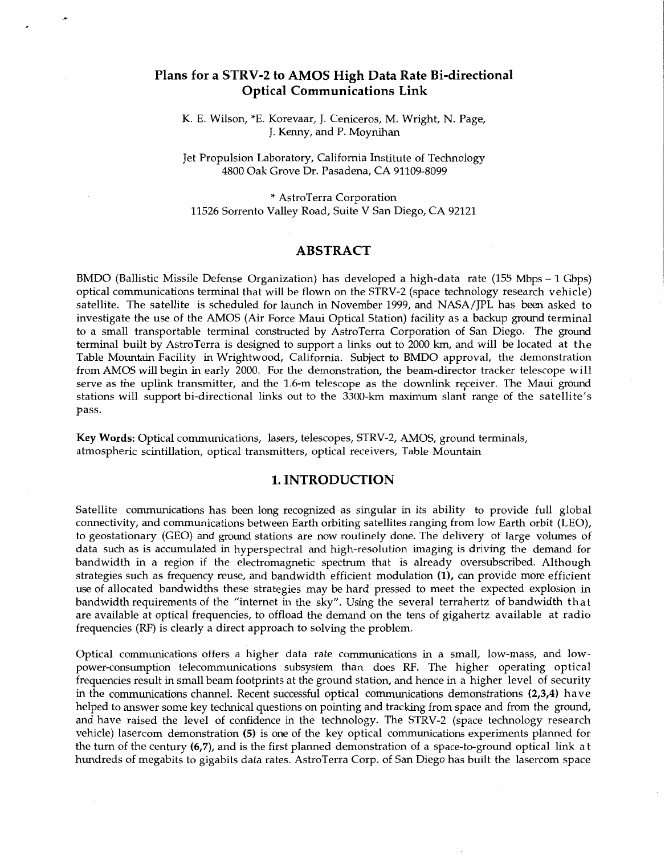# **Plans for a STRV-2 to AMOS High Data Rate Bi-directional Optical Communications Link**

*c* 

K. E. Wilson, \*E. Korevaar, J. Ceniceros, M. Wright, N. Page, J. Kenny, and P. Moynihan

Jet Propulsion Laboratory, California Institute of Technology 4800 Oak Grove Dr. Pasadena, CA 91109-8099

\* AstroTerra Corporation 11526 Sorrento Valley Road, Suite V San Diego, CA 92121

### **ABSTRACT**

BMDO (Ballistic Missile Defense Organization) has developed a high-data rate (155 Mbps - 1 Gbps) optical communications terminal that will be flown on the STRV-2 (space technology research vehicle) satellite. The satellite is scheduled for launch in November 1999, and NASA/JPL has been asked to investigate the use of the AMOS (Air Force Maui Optical Station) facility as a backup ground terminal to a small transportable terminal constructed by AstroTerra Corporation of San Diego. The ground terminal built by AstroTerra is designed to support a links out to 2000 km, and will be located at the Table Mountain Facility in Wrightwood, California. Subject to BMDO approval, the demonstration from AMOS will begin in early 2000. For the demonstration, the beam-director tracker telescope will serve as the uplink transmitter, and the 1.6-m telescope as the downlink receiver. The Maui ground stations will support bi-directional links out to the 3300-km maximum slant range of the satellite's pass.

**Key Words:** Optical communications, lasers, telescopes, STRV-2, AMOS, ground terminals, atmospheric scintillation, optical transmitters, optical receivers, Table Mountain

## **1. INTRODUCTION**

Satellite communications has been long recognized as singular in its ability to provide full global connectivity, and communications between Earth orbiting satellites ranging from low Earth orbit (LEO), to geostationary (GEO) and ground stations are now routinely done. The delivery of large volumes of data such as is accumulated in hyperspectral and high-resolution imaging is driving the demand for bandwidth in a region if the electromagnetic spectrum that is already oversubscribed. Although strategies such as frequency reuse, and bandwidth efficient modulation **(l),** can provide more efficient use of allocated bandwidths these strategies may be hard pressed to meet the expected explosion in bandwidth requirements of the "internet in the sky". Using the several terrahertz of bandwidth that are available at optical frequencies, to offload the demand on the tens of gigahertz available at radio frequencies (RF) is clearly a direct approach to solving the problem.

Optical communications offers a higher data rate communications in a small, low-mass, and lowpower-consumption telecommunications subsystem than does RF. The higher operating optical frequencies result in small beam footprints at the ground station, and hence in a higher level of security in the communications channel. Recent successful optical communications demonstrations **(2,3,4)** have helped to answer some key technical questions on pointing and tracking from space and from the ground, and have raised the level of confidence in the technology. The STRV-2 (space technology research vehicle) lasercom demonstration **(5)** is one of the key optical communications experiments planned for the turn of the century **(6,7),** and is the first planned demonstration of a space-to-ground optical link at hundreds of megabits to gigabits data rates. AstroTerra Corp. of San Diego has built the lasercom space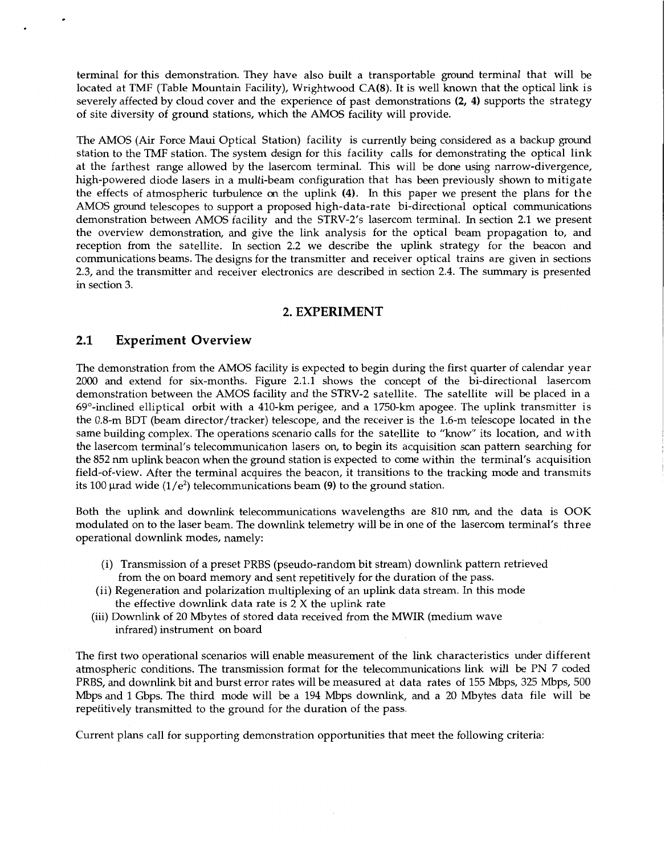terminal for this demonstration. They have also built a transportable ground terminal that will be located at TMF (Table Mountain Facility), Wrightwood CA(8). It is well known that the optical link is severely affected by cloud cover and the experience of past demonstrations **(2, 4)** supports the strategy of site diversity of ground stations, which the AMOS facility will provide.

The AMOS (Air Force Maui Optical Station) facility is currently being considered as a backup ground station to the TMF station. The system design for this facility calls for demonstrating the optical link at the farthest range allowed by the lasercom terminal. This will be done using narrow-divergence, high-powered diode lasers in a multi-beam configuration that has been previously shown to mitigate the effects of atmospheric turbulence *on* the uplink **(4).** In this paper we present the plans for the AMOS ground telescopes to support a proposed high-data-rate bi-directional optical communications demonstration between AMOS facility and the STRV-2's lasercom terminal. In section 2.1 we present the overview demonstration, and give the link analysis for the optical beam propagation to, and reception from the satellite. In section 2.2 we describe the uplink strategy for the beacon and communications beams. The designs for the transmitter and receiver optical trains are given in sections 2.3, and the transmitter and receiver electronics are described in section 2.4. The *summary* is presented in section *3.* 

## **2. EXPERIMENT**

## **2.1 Experiment Overview**

The demonstration from the AMOS facility is expected to begin during the first quarter of calendar year 2000 and extend for six-months. Figure 2.1.1 shows the concept of the bi-directional lasercom demonstration between the AMOS facility and the STRV-2 satellite. The satellite will be placed in a  $69^\circ$ -inclined elliptical orbit with a 410-km perigee, and a 1750-km apogee. The uplink transmitter is the 0.8-m BDT (beam director/tracker) telescope, and the receiver is the 1.6-m telescope located in the same building complex. The operations scenario calls for the satellite to "know" its location, and with the lasercom terminal's telecommunication lasers on, to begin its acquisition scan pattern searching for the 852 nm uplink beacon when the ground station is expected to come within the terminal's acquisition field-of-view. After the terminal acquires the beacon, it transitions to the tracking mode and transmits its 100  $\mu$ rad wide (1/e<sup>2</sup>) telecommunications beam (9) to the ground station.

Both the uplink and downlink telecommunications wavelengths are 810 nm, and the data is OOK modulated on to the laser beam. The downlink telemetry will be in one of the lasercom terminal's three operational downlink modes, namely:

- (i) Transmission of a preset PRBS (pseudo-random bit stream) downlink pattern retrieved from the on board memory and sent repetitively for the duration of the pass.
- the effective downlink data rate is  $2 \times$  the uplink rate (ii) Regeneration and polarization multiplexing of an uplink data stream. In this mode
- infrared) instrument on board (iii) Downlink of 20 Mbytes of stored data received from the MWIR (medium wave

The first two operational scenarios will enable measurement of the link characteristics under different atmospheric conditions. The transmission format for the telecommunications link will be PN 7 coded PRBS, and downlink bit and burst error rates will be measured at data rates of 155 Mbps, 325 Mbps, 500 Mbps and 1 Gbps. The third mode will be a 194 Mbps downlink, and a 20 Mbytes data file will be repetitively transmitted to the ground for the duration of the pass.

Current plans call for supporting demonstration opportunities that meet the following criteria: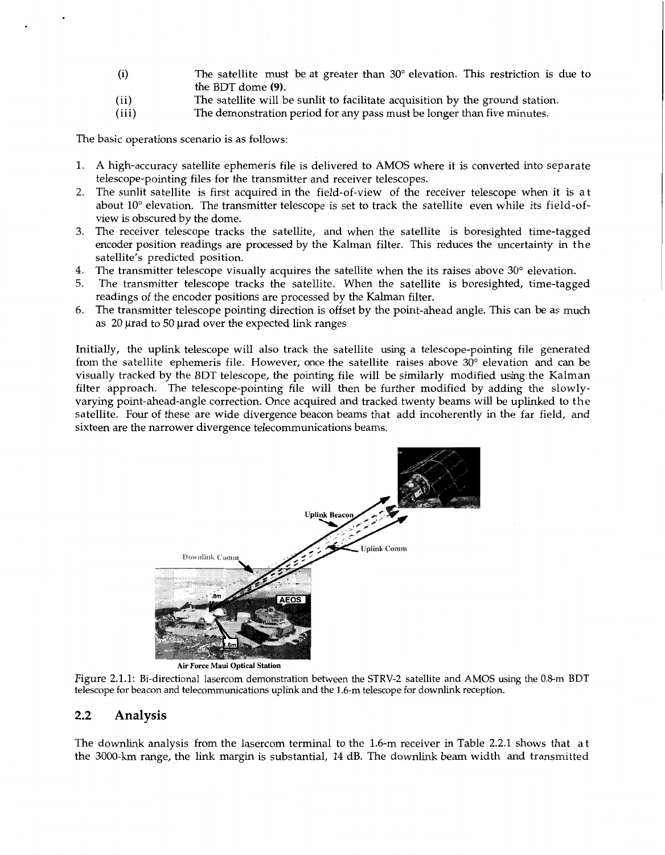- (i) The satellite must be at greater than 30" elevation. This restriction is due to the BDT dome **(9).**
- (ii) The satellite will be sunlit to facilitate acquisition by the ground station.<br>(iii) The demonstration period for any pass must be longer than five minutes.
	- The demonstration period for any pass must be longer than five minutes.

The basic operations scenario is as follows:

- 1. **A** high-accuracy satellite ephemeris file is delivered to AMOS where it is converted into separate telescope-pointing files for the transmitter and receiver telescopes.
- *2.*  The sunlit satellite is first acquired in the field-of-view of the receiver telescope when it is at about 10° elevation. The transmitter telescope is set to track the satellite even while its field-ofview is obscured by the dome.
- *3.*  The receiver telescope tracks the satellite, and when the satellite is boresighted time-tagged encoder position readings are processed by the Kalman filter. This reduces the uncertainty in the satellite's predicted position.
- 4. The transmitter telescope visually acquires the satellite when the its raises above 30° elevation.  $\,$
- 5. The transmitter telescope tracks the satellite. When the satellite is boresighted, time-tagged readings of the encoder positions are processed by the Kalman filter.
- *6.*  The transmitter telescope pointing direction is offset by the point-ahead angle. This can be as much as 20 urad to 50 urad over the expected link ranges

Initially, the uplink telescope will also track the satellite using a telescope-pointing file generated from the satellite ephemeris file. However, once the satellite raises above  $30^{\circ}$  elevation and can be visually tracked by the BDT telescope, the pointing file will be similarly modified using the Kalman filter approach. The telescope-pointing file will then be further modified by adding the slowlyvarying point-ahead-angle correction. Once acquired and tracked twenty beams will be uplinked to the satellite. Four of these are wide divergence beacon beams that add incoherently in the far field, and sixteen are the narrower divergence telecommunications beams.



Figure 2.1.1: Bi-directional lasercom demonstration between the STRV-2 satellite and AMOS using the 0.8-m BDT telescope for beacon and telecommunications uplink and the 1.6-m telescope for downlink reception.

## **2.2 Analysis**

The downlink analysis from the lasercom terminal to the 1.6-m receiver in Table 2.2.1 shows that at the 3000-km range, the link margin is substantial, 14 dB. The downlink beam width and transmitted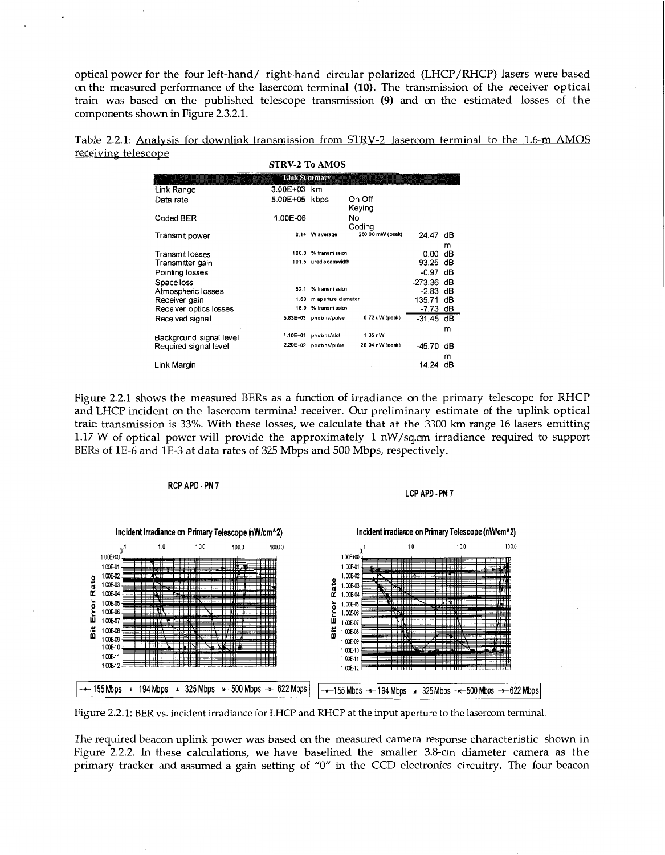optical power for the four left-hand/ right-hand circular polarized (LHCP/RHCP) lasers were based *on* the measured performance of the lasercom terminal **(10).** The transmission of the receiver optical train was based *on* the published telescope transmission **(9)** and *on* the estimated losses of the components shown in Figure 2.3.2.1.

Table 2.2.1: Analvsis for downlink transmission from STRV-2 lasercom terminal to the 1.6-m AMOS receiving telescope **STRV-2 TO AMOS** 

| STRV-Z TO AMUS          |               |                          |                   |             |         |
|-------------------------|---------------|--------------------------|-------------------|-------------|---------|
|                         |               | Link St mmary            |                   |             |         |
| Link Range              | 3.00E+03 km   |                          |                   |             |         |
| Data rate               | 5.00E+05 kbps |                          | On-Off<br>Keying  |             |         |
| Coded BER               | 1.00E-06      |                          | No<br>Coding      |             |         |
| Transmit power          |               | 0.14 W average           | 280.00 mW (peak)  | 24.47       | dВ      |
|                         |               |                          |                   |             | m       |
| Transmit losses         | 100.0         | % transmission           |                   | 0.00        | dB      |
| Transmitter gain        |               | 101.5 urad beamwidth     |                   | 93.25 dB    |         |
| Pointing losses         |               |                          |                   | $-0.97$ dB  |         |
| Space loss              |               |                          |                   | -273.36 dB  |         |
| Atmospheric losses      | 52.1          | % transmission           |                   | $-2.83$ dB  |         |
| Receiver gain           |               | 1.60 m aperture diameter |                   | 135.71 dB   |         |
| Receiver optics losses  | 16.9          | % transmission           |                   | $-7.73$ dB  |         |
| Received signal         |               | 5.83E+03 photons/pulse   | 0.72 uW (peak)    | $-31.45$ dB |         |
| Background signal level | 1.10E+01      | photons/slot             | $1.35 \text{ nW}$ |             | m       |
| Required signal level   | 2.20E+02      | photons/pulse            | 26.94 nW (peak)   | $-45.70$    | dΒ<br>m |
| Link Margin             |               |                          |                   | 14.24       | dΒ      |

Figure 2.2.1 shows the measured BERs as a function of irradiance *on* the primary telescope for RHCP and LHCP incident *on* the lasercom terminal receiver. *Our* preliminary estimate of the uplink optical train transmission is 33%. With these losses, we calculate that at the 3300 km range 16 lasers emitting 1.17 W of optical power will provide the approximately 1 nW/sq.cm irradiance required to support BERs of 1E-6 and 1E-3 at data rates of 325 Mbps and 500 Mbps, respectively.



Figure 2.2.1: BER vs. incident irradiance for LHCP and RHCP at the input aperture to the lasercom terminal.

The required beacon uplink power was based *on* the measured camera response characteristic shown in Figure 2.2.2. In these calculations, we have baselined the smaller 3.8-cm diameter camera as the primary tracker and assumed a gain setting of *"0"* in the CCD electronics circuitry. The four beacon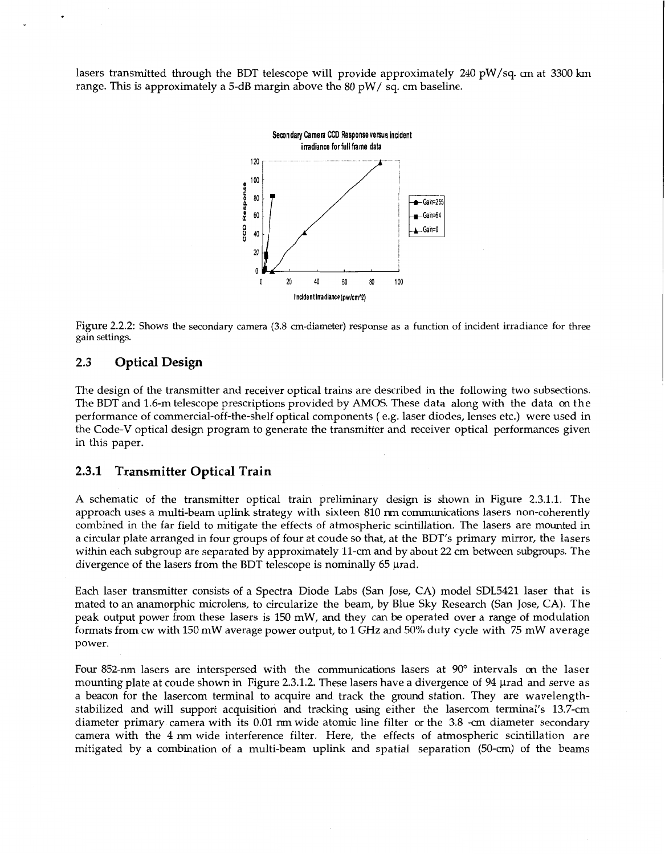lasers transmitted through the BDT telescope will provide approximately 240 pW/sq. *cm* at 3300 km range. This is approximately a 5-dB margin above the 80 pW/ sq. cm baseline.



Figure 2.2.2: Shows the secondary camera **(3.8** cm-diameter) response as a function of incident irradiance for three gain settings.

## **2.3 Optical Design**

The design of the transmitter and receiver optical trains are described in the following two subsections. The BDT and 1.6-m telescope prescriptions provided by AMOS. These data along with the data *on* the performance of commercial-off-the-shelf optical components ( e.g. laser diodes, lenses etc.) were used in the Code-V optical design program to generate the transmitter and receiver optical performances given in this paper.

## **2.3.1 Transmitter Optical Train**

**A** schematic of the transmitter optical train preliminary design is shown in Figure 2.3.1.1. The approach uses a multi-beam uplink strategy with sixteen 810 nm communications lasers non-coherently combined in the far field to mitigate the effects of atmospheric scintillation. The lasers are mounted in a circular plate arranged in four groups of four at coude *so* that, at the BDT's primary mirror, the lasers within each subgroup are separated by approximately 11-cm and by about 22 cm between subgroups. The divergence of the lasers from the BDT telescope is nominally  $65 \mu$ rad.

Each laser transmitter consists of a Spectra Diode Labs (San Jose, CA) model SDL5421 laser that is mated to an anamorphic microlens, to circularize the beam, by Blue Sky Research (San Jose, CA). The peak output power from these lasers is 150 mW, and they can be operated over a range of modulation formats from cw with 150 mW average power output, to 1 GHz and 50% duty cycle with 75 mW average power.

Four 852-nm lasers are interspersed with the communications lasers at 90" intervals *on* the laser mounting plate at coude shown in Figure 2.3.1.2. These lasers have a divergence of 94 µrad and serve as a beacon for the lasercom terminal to acquire and track the ground station. They are wavelengthstabilized and will support acquisition and tracking using either the lasercom terminal's 13.7-cm diameter primary camera with its 0.01 nm wide atomic line filter or the 3.8 -cm diameter secondary camera with the 4 nm wide interference filter. Here, the effects of atmospheric scintillation are mitigated by a combination of a multi-beam uplink and spatial separation (50-cm) of the beams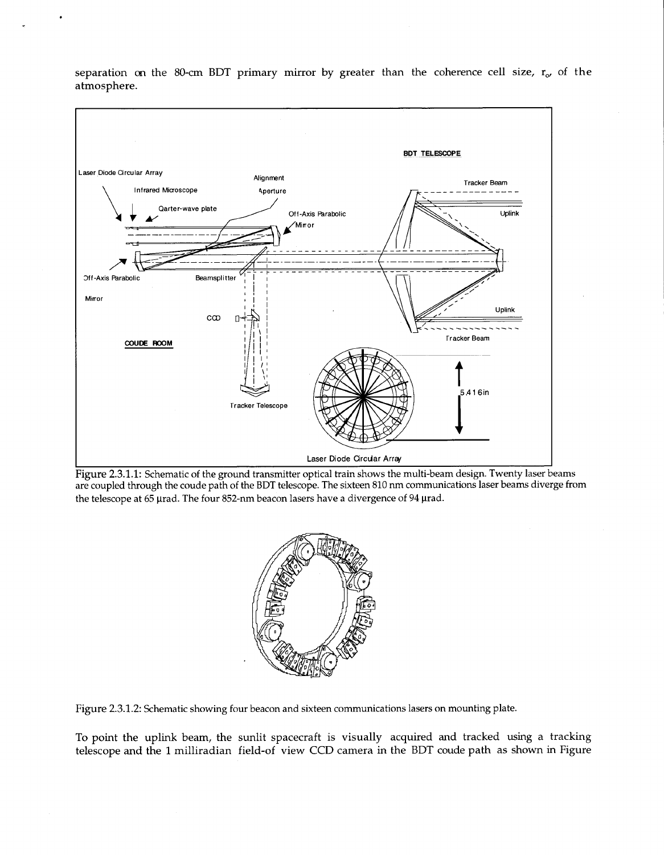

separation on the 80-cm BDT primary mirror by greater than the coherence cell size, r<sub>o</sub>, of the atmosphere.

Figure 2.3.1.1: Schematic of the ground transmitter optical train shows the multi-beam design. Twenty laser beams are coupled through the coude path of the BDT telescope. The sixteen 810 nm communications laser beams diverge from the telescope at 65 µrad. The four 852-nm beacon lasers have a divergence of 94 µrad.



Figure 2.3.1.2: Schematic showing four beacon and sixteen communications lasers on mounting plate.

To point the uplink beam, the sunlit spacecraft is visually acquired and tracked using a tracking telescope and the 1 milliradian field-of view CCD camera in the BDT coude path as shown in Figure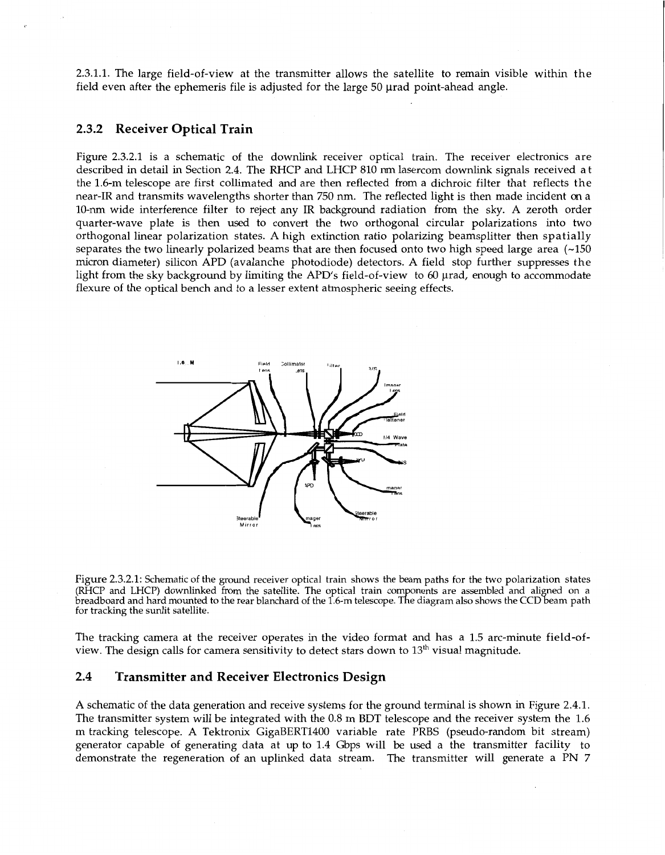2.3.1.1. The large field-of-view at the transmitter allows the satellite to remain visible within the field even after the ephemeris file is adjusted for the large  $50 \mu$ rad point-ahead angle.

#### **2.3.2 Receiver Optical Train**

Figure 2.3.2.1 is a schematic of the downlink receiver optical train. The receiver electronics are described in detail in Section 2.4. The RHCP and LHCP 810 nm lasercom downlink signals received at the 1.6-m telescope are first collimated and are then reflected from a dichroic filter that reflects the near-IR and transmits wavelengths shorter than 750 nm. The reflected light is then made incident *on* a 10-nm wide interference filter to reject any IR background radiation from the sky. A zeroth order quarter-wave plate is then used to convert the two orthogonal circular polarizations into two orthogonal linear polarization states. A high extinction ratio polarizing beamsplitter then spatially separates the two linearly polarized beams that are then focused onto two high speed large area  $(-150$ micron diameter) silicon APD (avalanche photodiode) detectors. A field stop further suppresses the light from the sky background by limiting the APD's field-of-view to 60 µrad, enough to accommodate flexure of the optical bench and to a lesser extent atmospheric seeing effects.



Figure 2.3.2.1: Schematic of the ground receiver optical train shows the beam paths for the two polarization states (RHCP and LHCP) downlinked from the satellite. The optical train components are assembled and aligned on a<br>preadboard and hard mounted to the rear blanchard of the 1.6-m telescope. The diagram also shows the CCD beam path for tracking the sunlit satellite.

The tracking camera at the receiver operates in the video format and has a 1.5 arc-minute field-ofview. The design calls for camera sensitivity to detect stars down to  $13<sup>th</sup>$  visual magnitude.

## **2.4 Transmitter and Receiver Electronics Design**

**A** schematic of the data generation and receive systems for the ground terminal is shown in Figure 2.4.1. The transmitter system will be integrated with the 0.8 m BDT telescope and the receiver system the 1.6 m tracking telescope. A Tektronix GigaBERT1400 variable rate PRBS (pseudo-random bit stream) generator capable of generating data at up to 1.4 Gbps will be used a the transmitter facility to demonstrate the regeneration of an uplinked data stream. The transmitter will generate a PN 7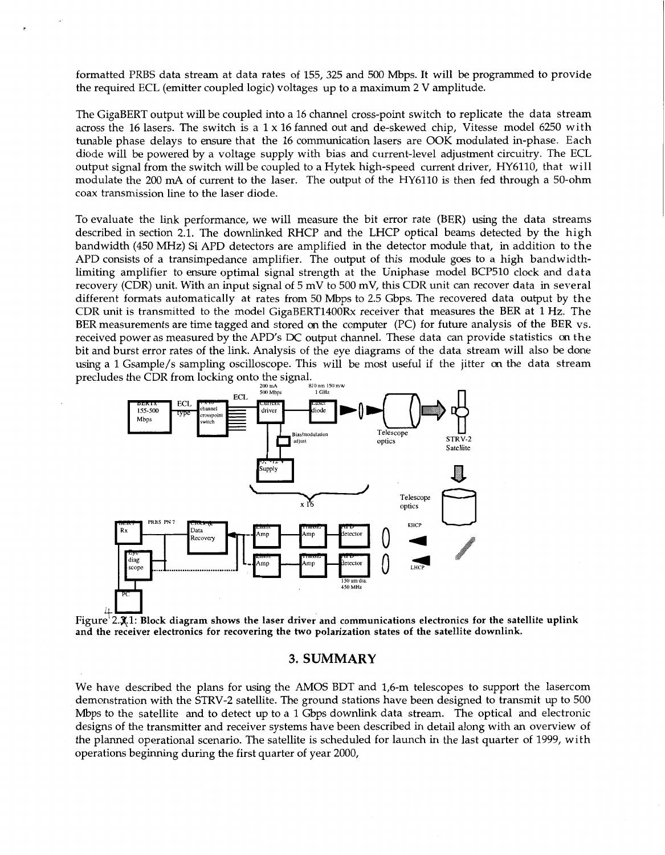formatted PRBS data stream at data rates of 155, 325 and 500 Mbps. It will be programmed to provide the required ECL (emitter coupled logic) voltages up to a maximum 2 V amplitude.

The GigaBERT output will be coupled into a 16 channel cross-point switch to replicate the data stream across the 16 lasers. The switch is a  $1 \times 16$  fanned out and de-skewed chip, Vitesse model 6250 with tunable phase delays to ensure that the 16 communication lasers are OOK modulated in-phase. Each diode will be powered by a voltage supply with bias and current-level adjustment circuitry. The ECL output signal from the switch will be coupled to a Hytek high-speed current driver, HY6110, that will modulate the 200 mA of current to the laser. The output of the HY6110 is then fed through a 50-ohm coax transmission line to the laser diode.

To evaluate the link performance, we will measure the bit error rate (BER) using the data streams described in section 2.1. The downlinked RHCP and the LHCP optical beams detected by the high bandwidth (450 MHz) Si APD detectors are amplified in the detector module that, in addition to the APD consists of a transimpedance amplifier. The output of this module goes to a high bandwidthlimiting amplifier to ensure optimal signal strength at the Uniphase model BCP510 clock and data recovery (CDR) unit. With an input signal of 5 mV to 500 mV, this CDR unit can recover data in several different formats automatically at rates from 50 Mbps to 2.5 Gbps. The recovered data output by the CDR unit is transmitted to the model GigaBERT1400Rx receiver that measures the BER at 1 Hz. The BER measurements are time tagged and stored *on* the computer (PC) for future analysis of the BER vs. received power as measured by the APD's DC output channel. These data can provide statistics on the bit and burst error rates of the link. Analysis of the eye diagrams of the data stream will also be done using a 1 Gsample/s sampling oscilloscope. This will be most useful if the jitter *on* the data stream



**and the receiver electronics for recovering the two polarization states of the satellite downlink.** 

#### **3. SUMMARY**

We have described the plans for using the AMOS BDT and 1,6-m telescopes to support the lasercom demonstration with the STRV-2 satellite. The ground stations have been designed to transmit up to 500 Mbps to the satellite and to detect up to a 1 Gbps downlink data stream. The optical and electronic designs of the transmitter and receiver systems have been described in detail along with an overview of the planned operational scenario. The satellite is scheduled for launch in the last quarter of 1999, with operations beginning during the first quarter of year 2000,